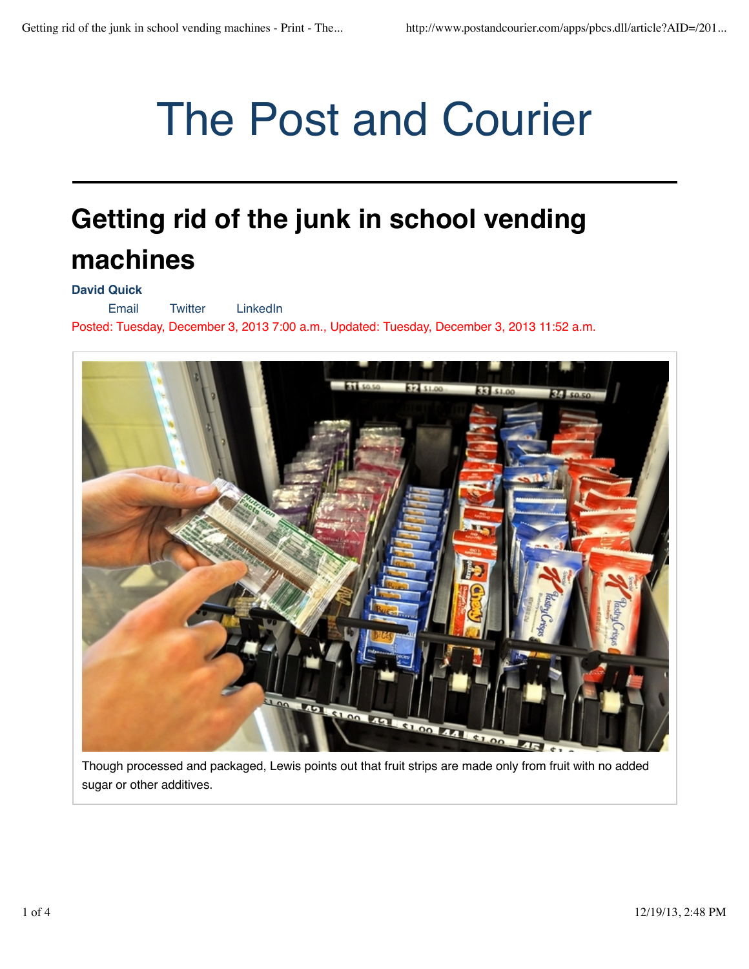# The Post and Courier

## **Getting rid of the junk in school vending machines**

### **David Quick**

Email Twitter LinkedIn Posted: Tuesday, December 3, 2013 7:00 a.m., Updated: Tuesday, December 3, 2013 11:52 a.m.



Though processed and packaged, Lewis points out that fruit strips are made only from fruit with no added sugar or other additives.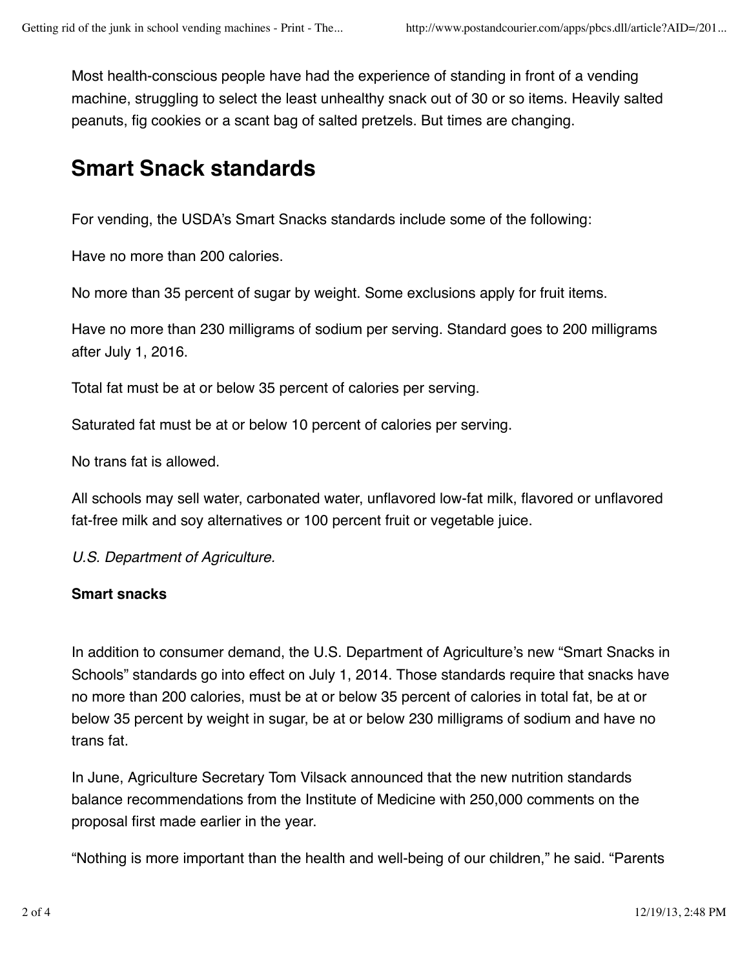Most health-conscious people have had the experience of standing in front of a vending machine, struggling to select the least unhealthy snack out of 30 or so items. Heavily salted peanuts, fig cookies or a scant bag of salted pretzels. But times are changing.

## **Smart Snack standards**

For vending, the USDA's Smart Snacks standards include some of the following:

Have no more than 200 calories.

No more than 35 percent of sugar by weight. Some exclusions apply for fruit items.

Have no more than 230 milligrams of sodium per serving. Standard goes to 200 milligrams after July 1, 2016.

Total fat must be at or below 35 percent of calories per serving.

Saturated fat must be at or below 10 percent of calories per serving.

No trans fat is allowed.

All schools may sell water, carbonated water, unflavored low-fat milk, flavored or unflavored fat-free milk and soy alternatives or 100 percent fruit or vegetable juice.

*U.S. Department of Agriculture.*

### **Smart snacks**

In addition to consumer demand, the U.S. Department of Agriculture's new "Smart Snacks in Schools" standards go into effect on July 1, 2014. Those standards require that snacks have no more than 200 calories, must be at or below 35 percent of calories in total fat, be at or below 35 percent by weight in sugar, be at or below 230 milligrams of sodium and have no trans fat.

In June, Agriculture Secretary Tom Vilsack announced that the new nutrition standards balance recommendations from the Institute of Medicine with 250,000 comments on the proposal first made earlier in the year.

"Nothing is more important than the health and well-being of our children," he said. "Parents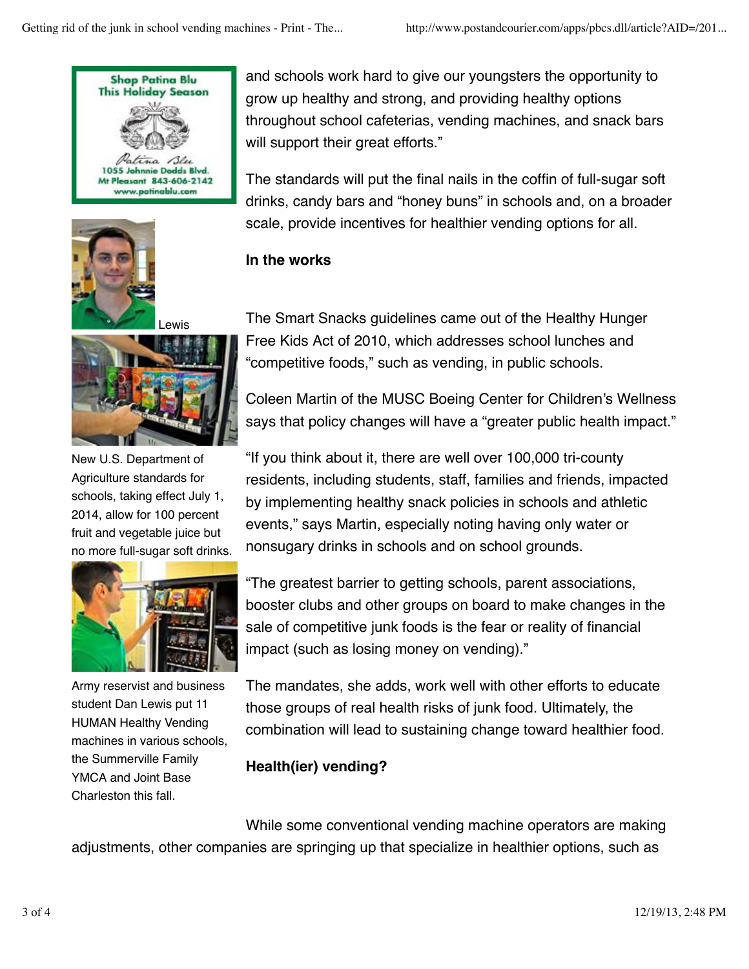



ewis



New U.S. Department of Agriculture standards for schools, taking effect July 1, 2014, allow for 100 percent fruit and vegetable juice but no more full-sugar soft drinks.



Army reservist and business student Dan Lewis put 11 HUMAN Healthy Vending machines in various schools, the Summerville Family YMCA and Joint Base Charleston this fall.

and schools work hard to give our youngsters the opportunity to grow up healthy and strong, and providing healthy options throughout school cafeterias, vending machines, and snack bars will support their great efforts."

The standards will put the final nails in the coffin of full-sugar soft drinks, candy bars and "honey buns" in schools and, on a broader scale, provide incentives for healthier vending options for all.

## **In the works**

The Smart Snacks guidelines came out of the Healthy Hunger Free Kids Act of 2010, which addresses school lunches and "competitive foods," such as vending, in public schools.

Coleen Martin of the MUSC Boeing Center for Children's Wellness says that policy changes will have a "greater public health impact."

"If you think about it, there are well over 100,000 tri-county residents, including students, staff, families and friends, impacted by implementing healthy snack policies in schools and athletic events," says Martin, especially noting having only water or nonsugary drinks in schools and on school grounds.

"The greatest barrier to getting schools, parent associations, booster clubs and other groups on board to make changes in the sale of competitive junk foods is the fear or reality of financial impact (such as losing money on vending)."

The mandates, she adds, work well with other efforts to educate those groups of real health risks of junk food. Ultimately, the combination will lead to sustaining change toward healthier food.

## **Health(ier) vending?**

While some conventional vending machine operators are making adjustments, other companies are springing up that specialize in healthier options, such as